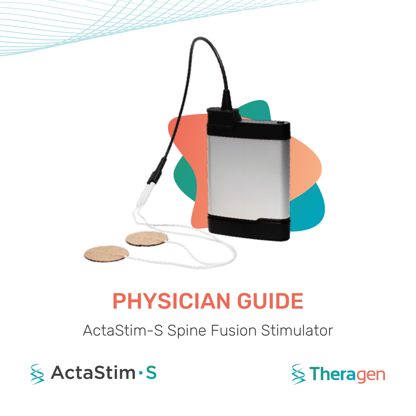

# PHYSICIAN GUIDE

# ActaStim-S Spine Fusion Stimulator



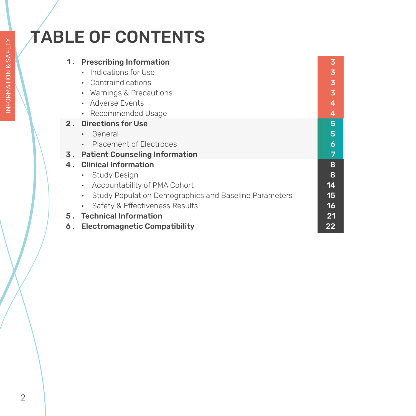# TABLE OF CONTENTS

| 1. | <b>Prescribing Information</b><br>Indications for Use              | 3<br>3 |
|----|--------------------------------------------------------------------|--------|
|    | • Contraindications                                                | 3      |
|    | Warnings & Precautions                                             | 3      |
|    | Adverse Events                                                     | 4      |
|    | Recommended Usage                                                  | 4      |
|    | 2. Directions for Use                                              | 5      |
|    | General<br>$\bullet$                                               | 5      |
|    | Placement of Electrodes<br>$\bullet$                               | 6      |
| 3. | <b>Patient Counseling Information</b>                              | 7      |
|    | 4. Clinical Information                                            | 8      |
|    | <b>Study Design</b><br>$\bullet$                                   | 8      |
|    | Accountability of PMA Cohort<br>$\bullet$                          | 14     |
|    | Study Population Demographics and Baseline Parameters<br>$\bullet$ | 15     |
|    | Safety & Effectiveness Results                                     | 16     |
|    | 5. Technical Information                                           | 21     |
| 6. | <b>Electromagnetic Compatibility</b>                               | 22     |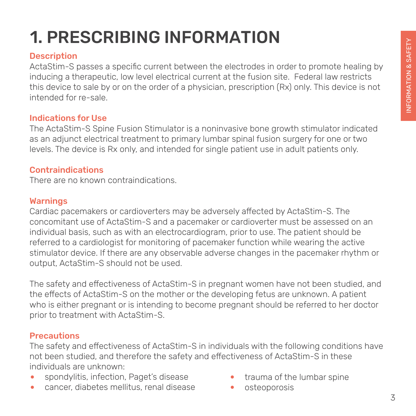# 1. PRESCRIBING INFORMATION

## **Description**

ActaStim-S passes a specific current between the electrodes in order to promote healing by inducing a therapeutic, low level electrical current at the fusion site. Federal law restricts this device to sale by or on the order of a physician, prescription (Rx) only. This device is not intended for re-sale.

#### Indications for Use

The ActaStim-S Spine Fusion Stimulator is a noninvasive bone growth stimulator indicated as an adjunct electrical treatment to primary lumbar spinal fusion surgery for one or two levels. The device is Rx only, and intended for single patient use in adult patients only.

### Contraindications

There are no known contraindications.

### Warnings

Cardiac pacemakers or cardioverters may be adversely affected by ActaStim-S. The concomitant use of ActaStim-S and a pacemaker or cardioverter must be assessed on an individual basis, such as with an electrocardiogram, prior to use. The patient should be referred to a cardiologist for monitoring of pacemaker function while wearing the active stimulator device. If there are any observable adverse changes in the pacemaker rhythm or output, ActaStim-S should not be used.

The safety and effectiveness of ActaStim-S in pregnant women have not been studied, and the effects of ActaStim-S on the mother or the developing fetus are unknown. A patient who is either pregnant or is intending to become pregnant should be referred to her doctor prior to treatment with ActaStim-S.

## **Precautions**

The safety and effectiveness of ActaStim-S in individuals with the following conditions have not been studied, and therefore the safety and effectiveness of ActaStim-S in these individuals are unknown:

- spondylitis, infection, Paget's disease
- cancer, diabetes mellitus, renal disease
- trauma of the lumbar spine
- osteoporosis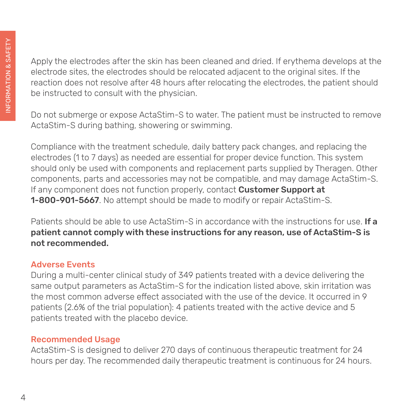Apply the electrodes after the skin has been cleaned and dried. If erythema develops at the electrode sites, the electrodes should be relocated adjacent to the original sites. If the reaction does not resolve after 48 hours after relocating the electrodes, the patient should be instructed to consult with the physician.

Do not submerge or expose ActaStim-S to water. The patient must be instructed to remove ActaStim-S during bathing, showering or swimming.

Compliance with the treatment schedule, daily battery pack changes, and replacing the electrodes (1 to 7 days) as needed are essential for proper device function. This system should only be used with components and replacement parts supplied by Theragen. Other components, parts and accessories may not be compatible, and may damage ActaStim-S. If any component does not function properly, contact **Customer Support at** 1-800-901-5667. No attempt should be made to modify or repair ActaStim-S.

Patients should be able to use ActaStim-S in accordance with the instructions for use. If a patient cannot comply with these instructions for any reason, use of ActaStim-S is not recommended.

# Adverse Events

During a multi-center clinical study of 349 patients treated with a device delivering the same output parameters as ActaStim-S for the indication listed above, skin irritation was the most common adverse effect associated with the use of the device. It occurred in 9 patients (2.6% of the trial population): 4 patients treated with the active device and 5 patients treated with the placebo device.

# Recommended Usage

ActaStim-S is designed to deliver 270 days of continuous therapeutic treatment for 24 hours per day. The recommended daily therapeutic treatment is continuous for 24 hours.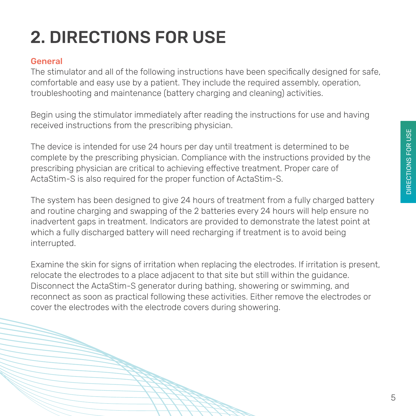# 2. DIRECTIONS FOR USE

# General

The stimulator and all of the following instructions have been specifically designed for safe, comfortable and easy use by a patient. They include the required assembly, operation, troubleshooting and maintenance (battery charging and cleaning) activities.

Begin using the stimulator immediately after reading the instructions for use and having received instructions from the prescribing physician.

The device is intended for use 24 hours per day until treatment is determined to be complete by the prescribing physician. Compliance with the instructions provided by the prescribing physician are critical to achieving effective treatment. Proper care of ActaStim-S is also required for the proper function of ActaStim-S.

The system has been designed to give 24 hours of treatment from a fully charged battery and routine charging and swapping of the 2 batteries every 24 hours will help ensure no inadvertent gaps in treatment. Indicators are provided to demonstrate the latest point at which a fully discharged battery will need recharging if treatment is to avoid being interrupted.

Examine the skin for signs of irritation when replacing the electrodes. If irritation is present, relocate the electrodes to a place adjacent to that site but still within the guidance. Disconnect the ActaStim-S generator during bathing, showering or swimming, and reconnect as soon as practical following these activities. Either remove the electrodes or cover the electrodes with the electrode covers during showering.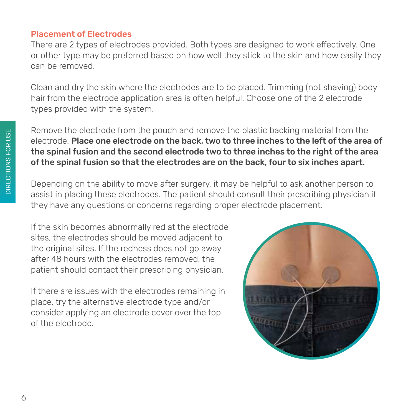#### Placement of Electrodes

There are 2 types of electrodes provided. Both types are designed to work effectively. One or other type may be preferred based on how well they stick to the skin and how easily they can be removed.

Clean and dry the skin where the electrodes are to be placed. Trimming (not shaving) body hair from the electrode application area is often helpful. Choose one of the 2 electrode types provided with the system.

Remove the electrode from the pouch and remove the plastic backing material from the electrode. Place one electrode on the back, two to three inches to the left of the area of the spinal fusion and the second electrode two to three inches to the right of the area of the spinal fusion so that the electrodes are on the back, four to six inches apart.

Depending on the ability to move after surgery, it may be helpful to ask another person to assist in placing these electrodes. The patient should consult their prescribing physician if they have any questions or concerns regarding proper electrode placement.

If the skin becomes abnormally red at the electrode sites, the electrodes should be moved adjacent to the original sites. If the redness does not go away after 48 hours with the electrodes removed, the patient should contact their prescribing physician.

If there are issues with the electrodes remaining in place, try the alternative electrode type and/or consider applying an electrode cover over the top of the electrode.

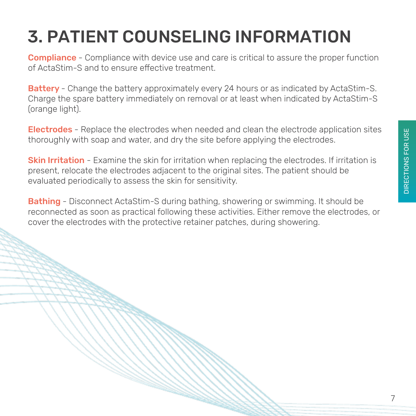# 3. PATIENT COUNSELING INFORMATION

**Compliance** - Compliance with device use and care is critical to assure the proper function of ActaStim-S and to ensure effective treatment.

Battery - Change the battery approximately every 24 hours or as indicated by ActaStim-S. Charge the spare battery immediately on removal or at least when indicated by ActaStim-S (orange light).

Electrodes - Replace the electrodes when needed and clean the electrode application sites thoroughly with soap and water, and dry the site before applying the electrodes.

**Skin Irritation -** Examine the skin for irritation when replacing the electrodes. If irritation is present, relocate the electrodes adjacent to the original sites. The patient should be evaluated periodically to assess the skin for sensitivity.

Bathing - Disconnect ActaStim-S during bathing, showering or swimming. It should be reconnected as soon as practical following these activities. Either remove the electrodes, or cover the electrodes with the protective retainer patches, during showering.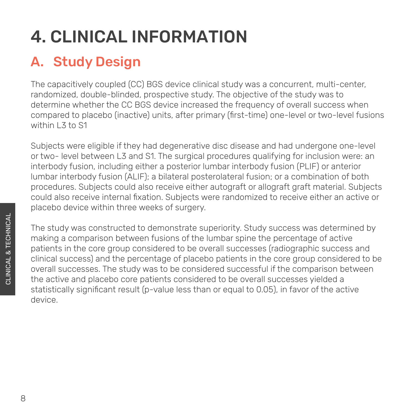# 4. CLINICAL INFORMATION

# A. Study Design

The capacitively coupled (CC) BGS device clinical study was a concurrent, multi-center, randomized, double-blinded, prospective study. The objective of the study was to determine whether the CC BGS device increased the frequency of overall success when compared to placebo (inactive) units, after primary (first-time) one-level or two-level fusions within L3 to S1

Subjects were eligible if they had degenerative disc disease and had undergone one-level or two- level between L3 and S1. The surgical procedures qualifying for inclusion were: an interbody fusion, including either a posterior lumbar interbody fusion (PLIF) or anterior lumbar interbody fusion (ALIF); a bilateral posterolateral fusion; or a combination of both procedures. Subjects could also receive either autograft or allograft graft material. Subjects could also receive internal fixation. Subjects were randomized to receive either an active or placebo device within three weeks of surgery.

The study was constructed to demonstrate superiority. Study success was determined by making a comparison between fusions of the lumbar spine the percentage of active patients in the core group considered to be overall successes (radiographic success and clinical success) and the percentage of placebo patients in the core group considered to be overall successes. The study was to be considered successful if the comparison between the active and placebo core patients considered to be overall successes yielded a statistically significant result (p-value less than or equal to 0.05), in favor of the active device.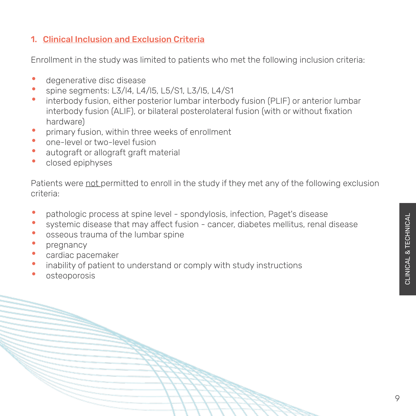## 1. Clinical Inclusion and Exclusion Criteria

Enrollment in the study was limited to patients who met the following inclusion criteria:

- degenerative disc disease
- spine segments: L3/l4, L4/l5, L5/S1, L3/l5, L4/S1<br>• interhady fusion, either pesterier lumber interhad
- interbody fusion, either posterior lumbar interbody fusion (PLIF) or anterior lumbar interbody fusion (ALIF), or bilateral posterolateral fusion (with or without fixation hardware)
- primary fusion, within three weeks of enrollment
- one-level or two-level fusion
- autograft or allograft graft material
- closed epiphyses

Patients were not permitted to enroll in the study if they met any of the following exclusion criteria:

- pathologic process at spine level spondylosis, infection, Paget's disease
- systemic disease that may affect fusion cancer, diabetes mellitus, renal disease
- osseous trauma of the lumbar spine
- pregnancy
- cardiac pacemaker
- inability of patient to understand or comply with study instructions
- **osteoporosis**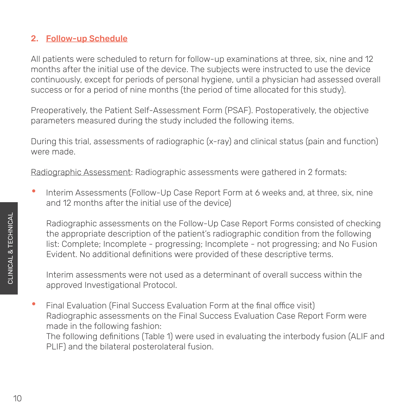### 2. Follow-up Schedule

All patients were scheduled to return for follow-up examinations at three, six, nine and 12 months after the initial use of the device. The subjects were instructed to use the device continuously, except for periods of personal hygiene, until a physician had assessed overall success or for a period of nine months (the period of time allocated for this study).

Preoperatively, the Patient Self-Assessment Form (PSAF). Postoperatively, the objective parameters measured during the study included the following items.

During this trial, assessments of radiographic (x-ray) and clinical status (pain and function) were made.

Radiographic Assessment: Radiographic assessments were gathered in 2 formats:

• Interim Assessments (Follow-Up Case Report Form at 6 weeks and, at three, six, nine and 12 months after the initial use of the device)

Radiographic assessments on the Follow-Up Case Report Forms consisted of checking the appropriate description of the patient's radiographic condition from the following list: Complete; Incomplete - progressing; Incomplete - not progressing; and No Fusion Evident. No additional definitions were provided of these descriptive terms.

Interim assessments were not used as a determinant of overall success within the approved Investigational Protocol.

• Final Evaluation (Final Success Evaluation Form at the final office visit) Radiographic assessments on the Final Success Evaluation Case Report Form were made in the following fashion: The following definitions (Table 1) were used in evaluating the interbody fusion (ALIF and PLIF) and the bilateral posterolateral fusion.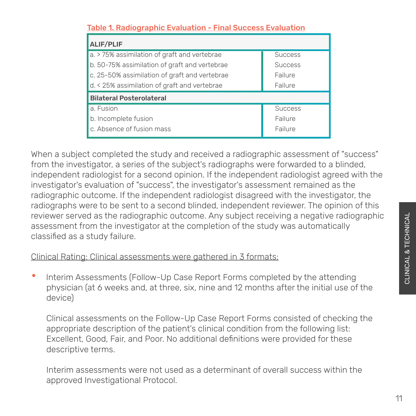| <u> Table 1. Radiographic Evaluation - Final Success Evaluation</u> |                |  |
|---------------------------------------------------------------------|----------------|--|
| <b>ALIF/PLIF</b>                                                    |                |  |
| a. > 75% assimilation of graft and vertebrae                        | <b>Success</b> |  |
| b. 50-75% assimilation of graft and vertebrae                       | <b>Success</b> |  |
| c. 25-50% assimilation of graft and vertebrae                       | Failure        |  |
| d. < 25% assimilation of graft and vertebrae<br>Failure             |                |  |
| <b>Bilateral Posterolateral</b>                                     |                |  |
| a. Fusion                                                           | <b>Success</b> |  |
| b. Incomplete fusion                                                | Failure        |  |
| c. Absence of fusion mass                                           | Failure        |  |

### Table 1. Radiographic Evaluation - Final Success Evaluation

When a subject completed the study and received a radiographic assessment of "success" from the investigator, a series of the subject's radiographs were forwarded to a blinded, independent radiologist for a second opinion. If the independent radiologist agreed with the investigator's evaluation of "success", the investigator's assessment remained as the radiographic outcome. If the independent radiologist disagreed with the investigator, the radiographs were to be sent to a second blinded, independent reviewer. The opinion of this reviewer served as the radiographic outcome. Any subject receiving a negative radiographic assessment from the investigator at the completion of the study was automatically classified as a study failure.

#### Clinical Rating: Clinical assessments were gathered in 3 formats:

• Interim Assessments (Follow-Up Case Report Forms completed by the attending physician (at 6 weeks and, at three, six, nine and 12 months after the initial use of the device)

Clinical assessments on the Follow-Up Case Report Forms consisted of checking the appropriate description of the patient's clinical condition from the following list: Excellent, Good, Fair, and Poor. No additional definitions were provided for these descriptive terms.

Interim assessments were not used as a determinant of overall success within the approved Investigational Protocol.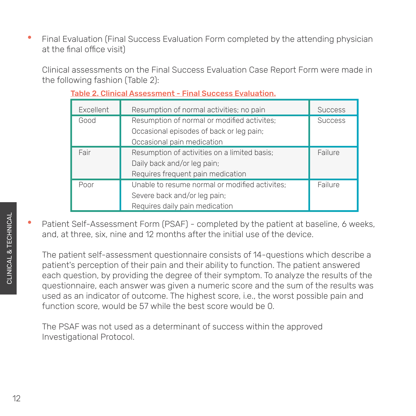• Final Evaluation (Final Success Evaluation Form completed by the attending physician at the final office visit)

Clinical assessments on the Final Success Evaluation Case Report Form were made in the following fashion (Table 2):

| Excellent | Resumption of normal activities; no pain       | <b>Success</b> |
|-----------|------------------------------------------------|----------------|
| Good      | Resumption of normal or modified activites;    | <b>Success</b> |
|           | Occasional episodes of back or leg pain;       |                |
|           | Occasional pain medication                     |                |
| Fair      | Resumption of activities on a limited basis;   | Failure        |
|           | Daily back and/or leg pain;                    |                |
|           | Requires frequent pain medication              |                |
| Poor      | Unable to resume normal or modified activites; | Failure        |
|           | Severe back and/or leg pain;                   |                |
|           | Requires daily pain medication                 |                |

Table 2. Clinical Assessment - Final Success Evaluation.

• Patient Self-Assessment Form (PSAF) - completed by the patient at baseline, 6 weeks, and, at three, six, nine and 12 months after the initial use of the device.

The patient self-assessment questionnaire consists of 14-questions which describe a patient's perception of their pain and their ability to function. The patient answered each question, by providing the degree of their symptom. To analyze the results of the questionnaire, each answer was given a numeric score and the sum of the results was used as an indicator of outcome. The highest score, i.e., the worst possible pain and function score, would be 57 while the best score would be 0.

The PSAF was not used as a determinant of success within the approved Investigational Protocol.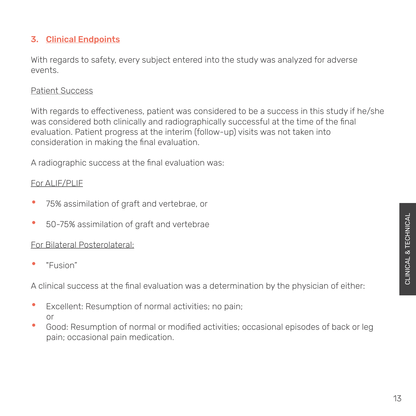## 3. Clinical Endpoints

With regards to safety, every subject entered into the study was analyzed for adverse events.

#### Patient Success

With regards to effectiveness, patient was considered to be a success in this study if he/she was considered both clinically and radiographically successful at the time of the final evaluation. Patient progress at the interim (follow-up) visits was not taken into consideration in making the final evaluation.

A radiographic success at the final evaluation was:

#### For ALIF/PLIF

- 75% assimilation of graft and vertebrae, or
- 50-75% assimilation of graft and vertebrae

#### For Bilateral Posterolateral:

• "Fusion"

A clinical success at the final evaluation was a determination by the physician of either:

- Excellent: Resumption of normal activities; no pain; or
- Good: Resumption of normal or modified activities; occasional episodes of back or leg pain; occasional pain medication.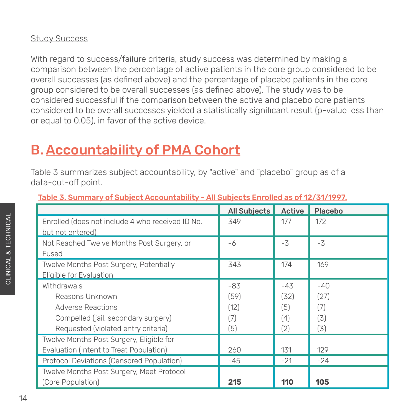#### **Study Success**

With regard to success/failure criteria, study success was determined by making a comparison between the percentage of active patients in the core group considered to be overall successes (as defined above) and the percentage of placebo patients in the core group considered to be overall successes (as defined above). The study was to be considered successful if the comparison between the active and placebo core patients considered to be overall successes yielded a statistically significant result (p-value less than or equal to 0.05), in favor of the active device.

# B. Accountability of PMA Cohort

Table 3 summarizes subject accountability, by "active" and "placebo" group as of a data-cut-off point.

|                                                  | <b>All Subjects</b> | Active | <b>Placebo</b> |
|--------------------------------------------------|---------------------|--------|----------------|
| Enrolled (does not include 4 who received ID No. | 349                 | 177    | 172            |
| but not entered)                                 |                     |        |                |
| Not Reached Twelve Months Post Surgery, or       | -6                  | $-3$   | $-3$           |
| Fused                                            |                     |        |                |
| Twelve Months Post Surgery, Potentially          | 343                 | 174    | 169            |
| Eligible for Evaluation                          |                     |        |                |
| Withdrawals                                      | $-83$               | $-43$  | $-40$          |
| Reasons Unknown                                  | (59)                | (32)   | (27)           |
| Adverse Reactions                                | (12)                | (5)    | (7)            |
| Compelled (jail, secondary surgery)              | (7)                 | (4)    | (3)            |
| Requested (violated entry criteria)              | (5)                 | (2)    | (3)            |
| Twelve Months Post Surgery, Eligible for         |                     |        |                |
| Evaluation (Intent to Treat Population)          | 260                 | 131    | 129            |
| Protocol Deviations (Censored Population)        | $-45$               | $-21$  | $-24$          |
| Twelve Months Post Surgery, Meet Protocol        |                     |        |                |
| (Core Population)                                | 215                 | 110    | 105            |

#### Table 3. Summary of Subject Accountability - All Subjects Enrolled as of 12/31/1997.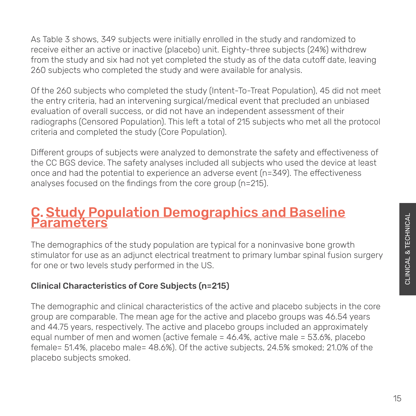As Table 3 shows, 349 subjects were initially enrolled in the study and randomized to receive either an active or inactive (placebo) unit. Eighty-three subjects (24%) withdrew from the study and six had not yet completed the study as of the data cutoff date, leaving 260 subjects who completed the study and were available for analysis.

Of the 260 subjects who completed the study (Intent-To-Treat Population), 45 did not meet the entry criteria, had an intervening surgical/medical event that precluded an unbiased evaluation of overall success, or did not have an independent assessment of their radiographs (Censored Population). This left a total of 215 subjects who met all the protocol criteria and completed the study (Core Population).

Different groups of subjects were analyzed to demonstrate the safety and effectiveness of the CC BGS device. The safety analyses included all subjects who used the device at least once and had the potential to experience an adverse event (n=349). The effectiveness analyses focused on the findings from the core group (n=215).

# C. <u>Study Population Demographics and Baseline</u><br>Parameters

The demographics of the study population are typical for a noninvasive bone growth stimulator for use as an adjunct electrical treatment to primary lumbar spinal fusion surgery for one or two levels study performed in the US.

# Clinical Characteristics of Core Subjects (n=215)

The demographic and clinical characteristics of the active and placebo subjects in the core group are comparable. The mean age for the active and placebo groups was 46.54 years and 44.75 years, respectively. The active and placebo groups included an approximately equal number of men and women (active female = 46.4%, active male = 53.6%, placebo female= 51.4%, placebo male= 48.6%). Of the active subjects, 24.5% smoked; 21.0% of the placebo subjects smoked.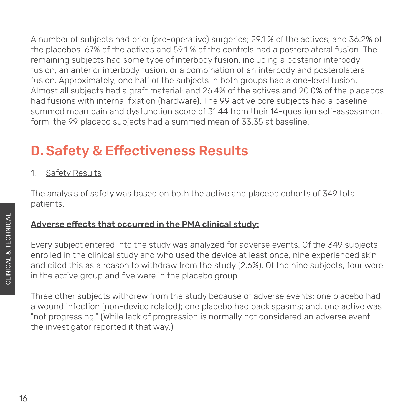A number of subjects had prior (pre-operative) surgeries; 29.1 % of the actives, and 36.2% of the placebos. 67% of the actives and 59.1 % of the controls had a posterolateral fusion. The remaining subjects had some type of interbody fusion, including a posterior interbody fusion, an anterior interbody fusion, or a combination of an interbody and posterolateral fusion. Approximately, one half of the subjects in both groups had a one-level fusion. Almost all subjects had a graft material; and 26.4% of the actives and 20.0% of the placebos had fusions with internal fixation (hardware). The 99 active core subjects had a baseline summed mean pain and dysfunction score of 31.44 from their 14-question self-assessment form; the 99 placebo subjects had a summed mean of 33.35 at baseline.

# D. Safety & Effectiveness Results

1. Safety Results

The analysis of safety was based on both the active and placebo cohorts of 349 total patients.

# Adverse effects that occurred in the PMA clinical study:

Every subject entered into the study was analyzed for adverse events. Of the 349 subjects enrolled in the clinical study and who used the device at least once, nine experienced skin and cited this as a reason to withdraw from the study (2.6%). Of the nine subjects, four were in the active group and five were in the placebo group.

Three other subjects withdrew from the study because of adverse events: one placebo had a wound infection (non-device related); one placebo had back spasms; and, one active was "not progressing." (While lack of progression is normally not considered an adverse event, the investigator reported it that way.)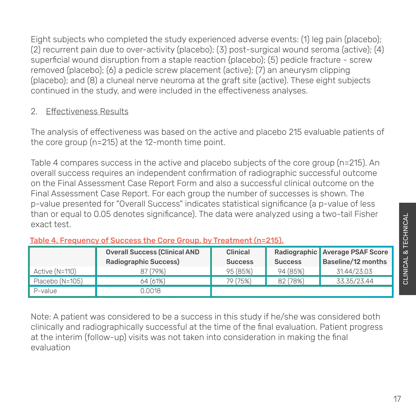Eight subjects who completed the study experienced adverse events: (1) leg pain (placebo); (2) recurrent pain due to over-activity (placebo); (3) post-surgical wound seroma (active); (4) superficial wound disruption from a staple reaction {placebo); (5) pedicle fracture - screw removed (placebo); (6) a pedicle screw placement (active); (7) an aneurysm clipping (placebo); and (8) a cluneal nerve neuroma at the graft site (active). These eight subjects continued in the study, and were included in the effectiveness analyses.

### 2. Effectiveness Results

The analysis of effectiveness was based on the active and placebo 215 evaluable patients of the core group (n=215) at the 12-month time point.

Table 4 compares success in the active and placebo subjects of the core group (n=215). An overall success requires an independent confirmation of radiographic successful outcome on the Final Assessment Case Report Form and also a successful clinical outcome on the Final Assessment Case Report. For each group the number of successes is shown. The p-value presented for "Overall Success" indicates statistical significance (a p-value of less than or equal to 0.05 denotes significance). The data were analyzed using a two-tail Fisher exact test.

|                 | <b>Overall Success (Clinical AND</b> | Clinical       |                | Radiographic Average PSAF Score |
|-----------------|--------------------------------------|----------------|----------------|---------------------------------|
|                 | <b>Radiographic Success)</b>         | <b>Success</b> | <b>Success</b> | Baseline/12 months              |
| Active (N=110)  | 87 (79%)                             | 95 (85%)       | 94 (85%)       | 31.44/23.03                     |
| Placebo (N=105) | 64 (61%)                             | 79 (75%)       | 82 (78%)       | 33.35/23.44                     |
| P-value         | 0.0018                               |                |                |                                 |

#### Table 4. Frequency of Success the Core Group, by Treatment (n=215).

Note: A patient was considered to be a success in this study if he/she was considered both clinically and radiographically successful at the time of the final evaluation. Patient progress at the interim (follow-up) visits was not taken into consideration in making the final evaluation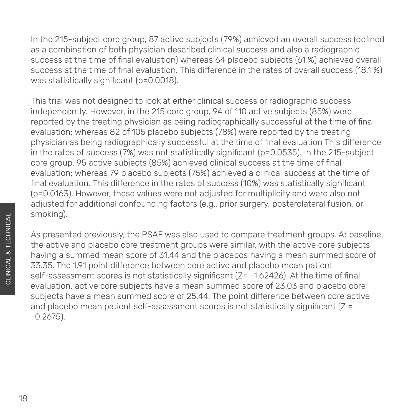In the 215-subject core group, 87 active subjects (79%) achieved an overall success (defined as a combination of both physician described clinical success and also a radiographic success at the time of final evaluation) whereas 64 placebo subjects (61 %) achieved overall success at the time of final evaluation. This difference in the rates of overall success (18.1 %) was statistically significant (p=0.0018).

This trial was not designed to look at either clinical success or radiographic success independently. However, in the 215 core group, 94 of 110 active subjects (85%) were reported by the treating physician as being radiographically successful at the time of final evaluation; whereas 82 of 105 placebo subjects (78%) were reported by the treating physician as being radiographically successful at the time of final evaluation This difference in the rates of success (7%) was not statistically significant (p=0.0535). In the 215-subject core group, 95 active subjects (85%) achieved clinical success at the time of final evaluation; whereas 79 placebo subjects (75%) achieved a clinical success at the time of final evaluation. This difference in the rates of success (10%) was statistically significant (p=0.0163). However, these values were not adjusted for multiplicity and were also not adjusted for additional confounding factors (e.g., prior surgery, posterolateral fusion, or smoking).

As presented previously, the PSAF was also used to compare treatment groups. At baseline, the active and placebo core treatment groups were similar, with the active core subjects having a summed mean score of 31.44 and the placebos having a mean summed score of 33.35. The 1.91 point difference between core active and placebo mean patient self-assessment scores is not statistically significant (Z= -1.62426). At the time of final evaluation, active core subjects have a mean summed score of 23.03 and placebo core subjects have a mean summed score of 25.44. The point difference between core active and placebo mean patient self-assessment scores is not statistically significant (Z = -0.2675).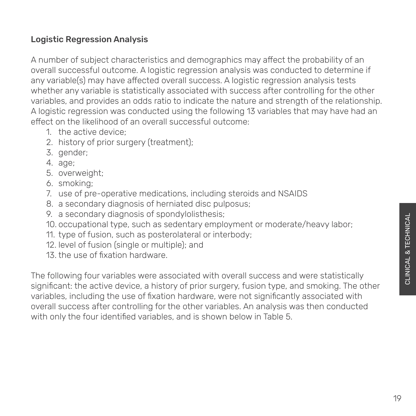# Logistic Regression Analysis

A number of subject characteristics and demographics may affect the probability of an overall successful outcome. A logistic regression analysis was conducted to determine if any variable(s) may have affected overall success. A logistic regression analysis tests whether any variable is statistically associated with success after controlling for the other variables, and provides an odds ratio to indicate the nature and strength of the relationship. A logistic regression was conducted using the following 13 variables that may have had an effect on the likelihood of an overall successful outcome:

- 1. the active device;
- 2. history of prior surgery (treatment);
- 3. gender;
- 4. age;
- 5. overweight;
- 6. smoking;
- 7. use of pre-operative medications, including steroids and NSAIDS
- 8. a secondary diagnosis of herniated disc pulposus;
- 9. a secondary diagnosis of spondylolisthesis;
- 10. occupational type, such as sedentary employment or moderate/heavy labor;
- 11. type of fusion, such as posterolateral or interbody;
- 12. level of fusion (single or multiple); and
- 13. the use of fixation hardware.

The following four variables were associated with overall success and were statistically significant: the active device, a history of prior surgery, fusion type, and smoking. The other variables, including the use of fixation hardware, were not significantly associated with overall success after controlling for the other variables. An analysis was then conducted with only the four identified variables, and is shown below in Table 5.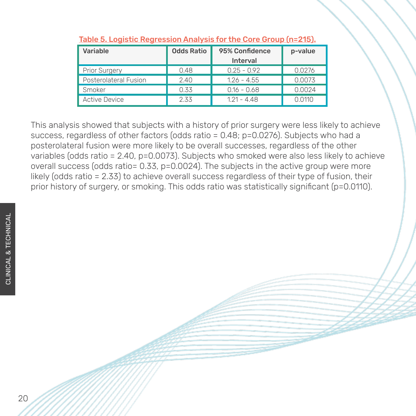| Variable                     | <b>Odds Ratio</b> | 95% Confidence<br>Interval | p-value |
|------------------------------|-------------------|----------------------------|---------|
| <b>Prior Surgery</b>         | 0.48              | $0.25 - 0.92$              | 0.0276  |
| <b>Posterolateral Fusion</b> | 2.40              | $1.26 - 4.55$              | 0.0073  |
| Smoker                       | 0.33              | $0.16 - 0.68$              | 0.0024  |
| Active Device                | 2.33              | 121 - 448                  | Q 0110  |

#### Table 5. Logistic Regression Analysis for the Core Group (n=215).

This analysis showed that subjects with a history of prior surgery were less likely to achieve success, regardless of other factors (odds ratio = 0.48; p=0.0276). Subjects who had a posterolateral fusion were more likely to be overall successes, regardless of the other variables (odds ratio = 2.40, p=0.0073). Subjects who smoked were also less likely to achieve overall success (odds ratio= 0.33, p=0.0024). The subjects in the active group were more likely (odds ratio = 2.33) to achieve overall success regardless of their type of fusion, their prior history of surgery, or smoking. This odds ratio was statistically significant (p=0.0110).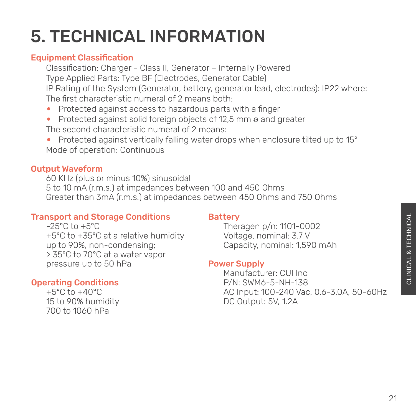# 5. TECHNICAL INFORMATION

# Equipment Classification

 Classification: Charger - Class II, Generator – Internally Powered Type Applied Parts: Type BF (Electrodes, Generator Cable) IP Rating of the System (Generator, battery, generator lead, electrodes): IP22 where: The first characteristic numeral of 2 means both:

- Protected against access to hazardous parts with a finger
- Protected against solid foreign objects of 12,5 mm  $\theta$  and greater The second characteristic numeral of 2 means:
- Protected against vertically falling water drops when enclosure tilted up to 15° Mode of operation: Continuous

# Output Waveform

 60 KHz (plus or minus 10%) sinusoidal 5 to 10 mA (r.m.s.) at impedances between 100 and 450 Ohms Greater than 3mA (r.m.s.) at impedances between 450 Ohms and 750 Ohms

## Transport and Storage Conditions

## **Battery**

 $-25^{\circ}$ C to  $+5^{\circ}$ C +5°C to +35°C at a relative humidity up to 90%, non-condensing; > 35°C to 70°C at a water vapor pressure up to 50 hPa

# Operating Conditions

 +5°C to +40°C 15 to 90% humidity 700 to 1060 hPa

 Theragen p/n: 1101-0002 Voltage, nominal: 3.7 V Capacity, nominal: 1,590 mAh

## Power Supply

 Manufacturer: CUI Inc P/N: SWM6-5-NH-138 AC Input: 100-240 Vac, 0.6-3.0A, 50-60Hz DC Output: 5V, 1.2A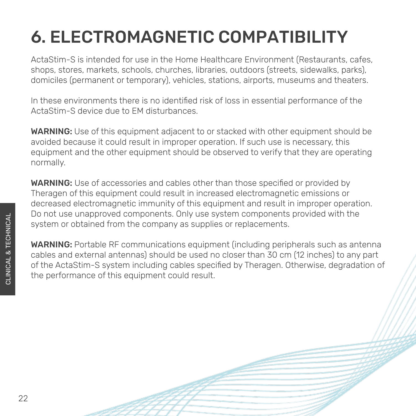# 6. ELECTROMAGNETIC COMPATIBILITY

ActaStim-S is intended for use in the Home Healthcare Environment (Restaurants, cafes, shops, stores, markets, schools, churches, libraries, outdoors (streets, sidewalks, parks), domiciles (permanent or temporary), vehicles, stations, airports, museums and theaters.

In these environments there is no identified risk of loss in essential performance of the ActaStim-S device due to EM disturbances.

WARNING: Use of this equipment adjacent to or stacked with other equipment should be avoided because it could result in improper operation. If such use is necessary, this equipment and the other equipment should be observed to verify that they are operating normally.

WARNING: Use of accessories and cables other than those specified or provided by Theragen of this equipment could result in increased electromagnetic emissions or decreased electromagnetic immunity of this equipment and result in improper operation. Do not use unapproved components. Only use system components provided with the system or obtained from the company as supplies or replacements.

WARNING: Portable RF communications equipment (including peripherals such as antenna cables and external antennas) should be used no closer than 30 cm (12 inches) to any part of the ActaStim-S system including cables specified by Theragen. Otherwise, degradation of the performance of this equipment could result.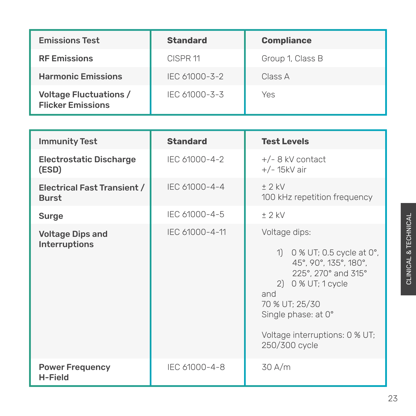| <b>Emissions Test</b>                                     | <b>Standard</b>     | <b>Compliance</b> |
|-----------------------------------------------------------|---------------------|-------------------|
| <b>RF Emissions</b>                                       | CISPR <sub>11</sub> | Group 1, Class B  |
| <b>Harmonic Emissions</b>                                 | IEC 61000-3-2       | Class A           |
| <b>Voltage Fluctuations /</b><br><b>Flicker Emissions</b> | IEC 61000-3-3       | Yes               |

| <b>Immunity Test</b>                            | <b>Standard</b> | <b>Test Levels</b>                                                                                                                                                                                                    |
|-------------------------------------------------|-----------------|-----------------------------------------------------------------------------------------------------------------------------------------------------------------------------------------------------------------------|
| <b>Electrostatic Discharge</b><br>(ESD)         | IEC 61000-4-2   | $+/-$ 8 kV contact<br>$+/- 15kV$ air                                                                                                                                                                                  |
| Electrical Fast Transient /<br><b>Burst</b>     | IEC 61000-4-4   | $+2$ kV<br>100 kHz repetition frequency                                                                                                                                                                               |
| <b>Surge</b>                                    | IEC 61000-4-5   | $+2$ kV                                                                                                                                                                                                               |
| <b>Voltage Dips and</b><br><b>Interruptions</b> | IEC 61000-4-11  | Voltage dips:<br>1) 0 % UT; 0.5 cycle at 0°,<br>45°, 90°, 135°, 180°,<br>225°, 270° and 315°<br>2) 0 % UT; 1 cycle<br>and<br>70 % UT; 25/30<br>Single phase: at 0°<br>Voltage interruptions: 0 % UT;<br>250/300 cycle |
| <b>Power Frequency</b><br><b>H-Field</b>        | IEC 61000-4-8   | 30 A/m                                                                                                                                                                                                                |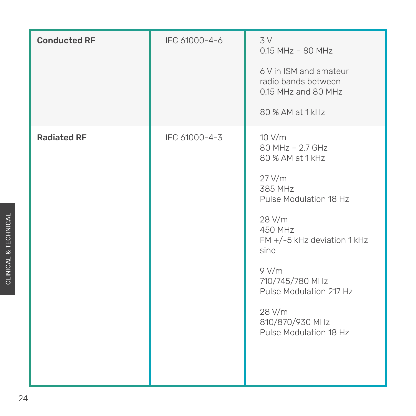| <b>Conducted RE</b> | IEC 61000-4-6 | 3V<br>$0.15$ MHz - 80 MHz<br>6 V in ISM and amateur<br>radio bands between<br>0.15 MHz and 80 MHz<br>80 % AM at 1 kHz                                                                                                                                                       |
|---------------------|---------------|-----------------------------------------------------------------------------------------------------------------------------------------------------------------------------------------------------------------------------------------------------------------------------|
| <b>Radiated RF</b>  | IEC 61000-4-3 | 10 V/m<br>80 MHz - 2.7 GHz<br>80 % AM at 1 kHz<br>$27$ V/m<br>385 MHz<br>Pulse Modulation 18 Hz<br>28 V/m<br>450 MHz<br>$FM +/-5$ kHz deviation 1 kHz<br>sine<br>9 V/m<br>710/745/780 MHz<br>Pulse Modulation 217 Hz<br>28 V/m<br>810/870/930 MHz<br>Pulse Modulation 18 Hz |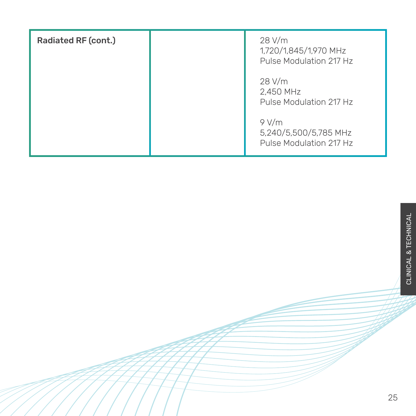| <b>Radiated RF (cont.)</b> | 28 V/m<br>1,720/1,845/1,970 MHz<br>Pulse Modulation 217 Hz |
|----------------------------|------------------------------------------------------------|
|                            | 28 V/m<br>2,450 MHz<br>Pulse Modulation 217 Hz             |
|                            | 9 V/m<br>5,240/5,500/5,785 MHz<br>Pulse Modulation 217 Hz  |